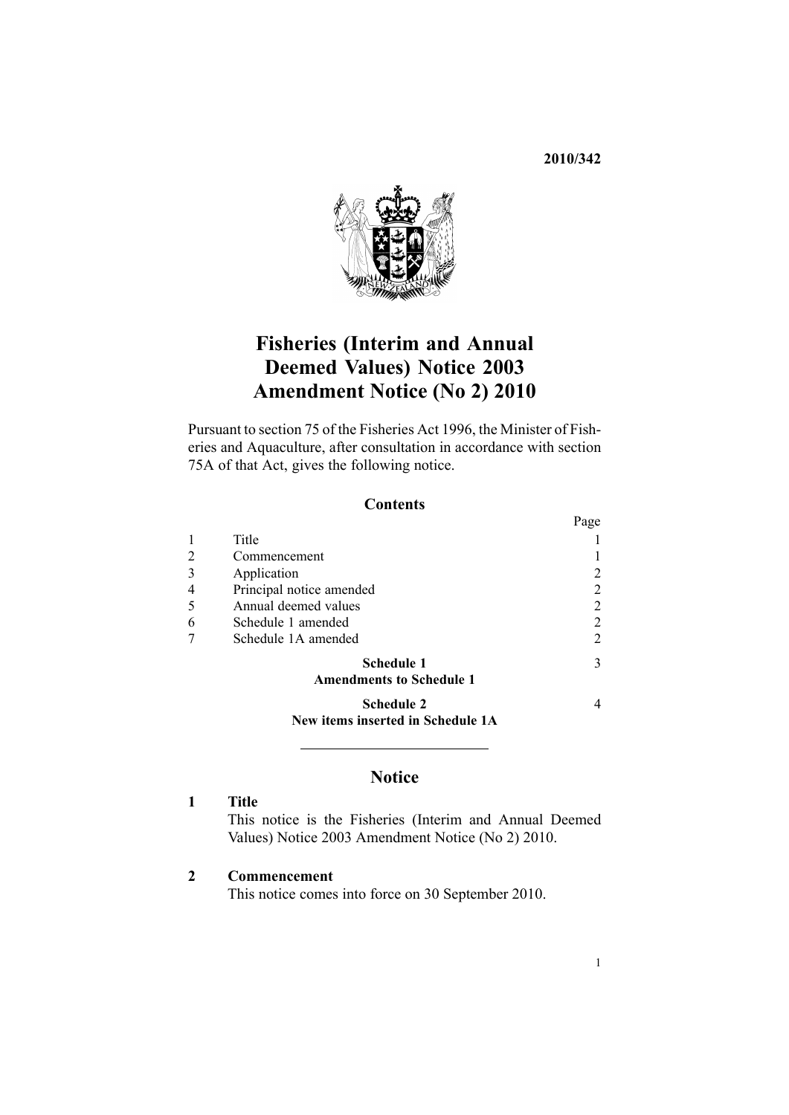#### **2010/342**

 $D_{\alpha\alpha\alpha}$ 



# **Fisheries (Interim and Annual Deemed Values) Notice 2003 Amendment Notice (No 2) 2010**

Pursuant to [section](http://www.legislation.govt.nz/pdflink.aspx?id=DLM396539) 75 of the Fisheries Act 1996, the Minister of Fisheries and Aquaculture, after consultation in accordance with [section](http://www.legislation.govt.nz/pdflink.aspx?id=DLM396542) [75A](http://www.legislation.govt.nz/pdflink.aspx?id=DLM396542) of that Act, gives the following notice.

#### **Contents**

|                                                      | 1 agu |
|------------------------------------------------------|-------|
| Title                                                |       |
| Commencement                                         |       |
| Application                                          |       |
| Principal notice amended                             | 2     |
| Annual deemed values                                 | 2     |
| Schedule 1 amended                                   | 2     |
| Schedule 1A amended                                  | 2     |
| <b>Schedule 1</b><br><b>Amendments to Schedule 1</b> | 3     |
| <b>Schedule 2</b>                                    | 4     |

**New items inserted in [Schedule](#page-3-0) 1A**

### **Notice**

#### **1 Title**

This notice is the Fisheries (Interim and Annual Deemed Values) Notice 2003 Amendment Notice (No 2) 2010.

#### **2 Commencement**

This notice comes into force on 30 September 2010.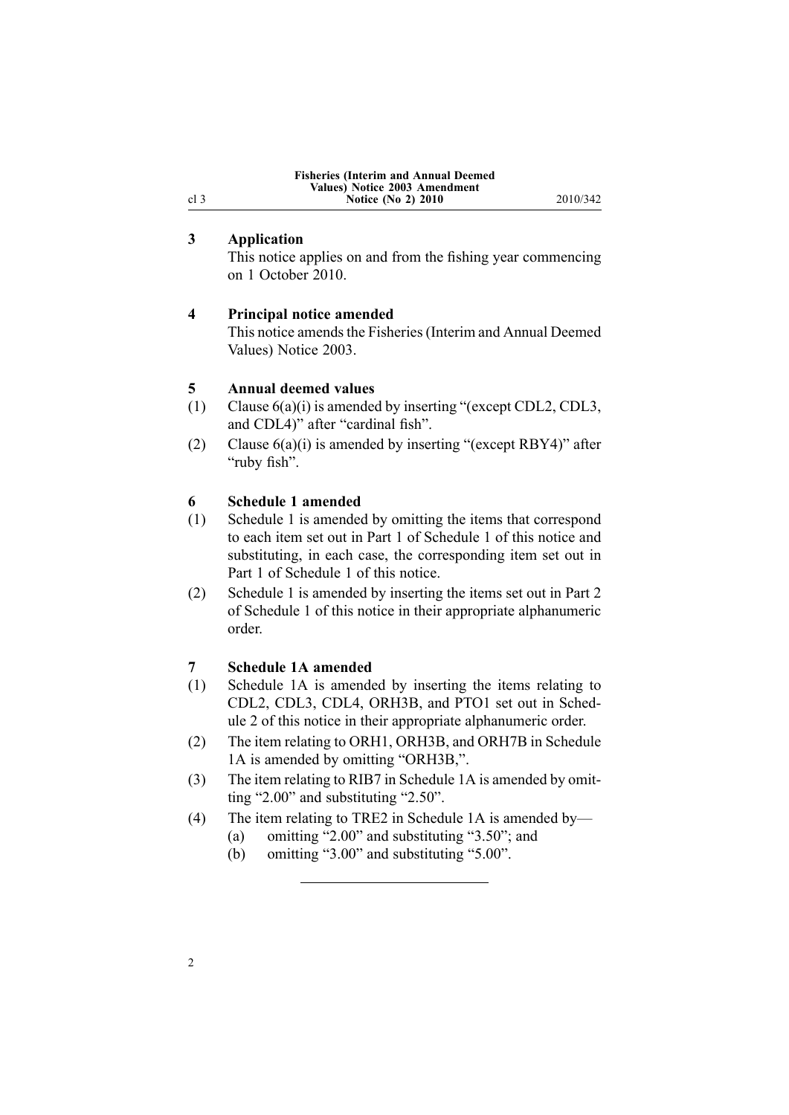| <b>Fisheries (Interim and Annual Deemed)</b> |
|----------------------------------------------|
| Values) Notice 2003 Amendment                |
| <b>Notice (No 2) 2010</b>                    |

**Notice (No 2) 2010** 2010/342

#### **3 Application**

<span id="page-1-0"></span>cl 3

This notice applies on and from the fishing year commencing on 1 October 2010.

#### **4 Principal notice amended**

This notice amends the Fisheries (Interim and Annual Deemed [Values\)](http://www.legislation.govt.nz/pdflink.aspx?id=DLM214397) Notice 2003.

#### **5 Annual deemed values**

- (1) Clause [6\(a\)\(i\)](http://www.legislation.govt.nz/pdflink.aspx?id=DLM215013) is amended by inserting "(except CDL2, CDL3, and CDL4)" after "cardinal fish".
- (2) Clause [6\(a\)\(i\)](http://www.legislation.govt.nz/pdflink.aspx?id=DLM215013) is amended by inserting "(except RBY4)" after "ruby fish".

#### **6 Schedule 1 amended**

- (1) [Schedule](http://www.legislation.govt.nz/pdflink.aspx?id=DLM215032) 1 is amended by omitting the items that correspond to each item set out in [Part](#page-2-0) 1 of Schedule 1 of this notice and substituting, in each case, the corresponding item set out in Part 1 of Schedule 1 of this notice.
- (2) [Schedule](http://www.legislation.govt.nz/pdflink.aspx?id=DLM215032) 1 is amended by inserting the items set out in [Part](#page-2-0) 2 of Schedule 1 of this notice in their appropriate alphanumeric order.

#### **7 Schedule 1A amended**

- (1) [Schedule](http://www.legislation.govt.nz/pdflink.aspx?id=DLM1041402) 1A is amended by inserting the items relating to CDL2, CDL3, CDL4, ORH3B, and PTO1 set out in [Sched](#page-2-0)[ule](#page-2-0) 2 of this notice in their appropriate alphanumeric order.
- (2) The item relating to ORH1, ORH3B, and ORH7B in [Schedule](http://www.legislation.govt.nz/pdflink.aspx?id=DLM1041402) [1A](http://www.legislation.govt.nz/pdflink.aspx?id=DLM1041402) is amended by omitting "ORH3B,".
- (3) The item relating to RIB7 in [Schedule](http://www.legislation.govt.nz/pdflink.aspx?id=DLM1041402) 1A is amended by omitting "2.00" and substituting "2.50".
- (4) The item relating to TRE2 in [Schedule](http://www.legislation.govt.nz/pdflink.aspx?id=DLM1041402) 1A is amended by—
	- (a) omitting "2.00" and substituting "3.50"; and
	- (b) omitting "3.00" and substituting "5.00".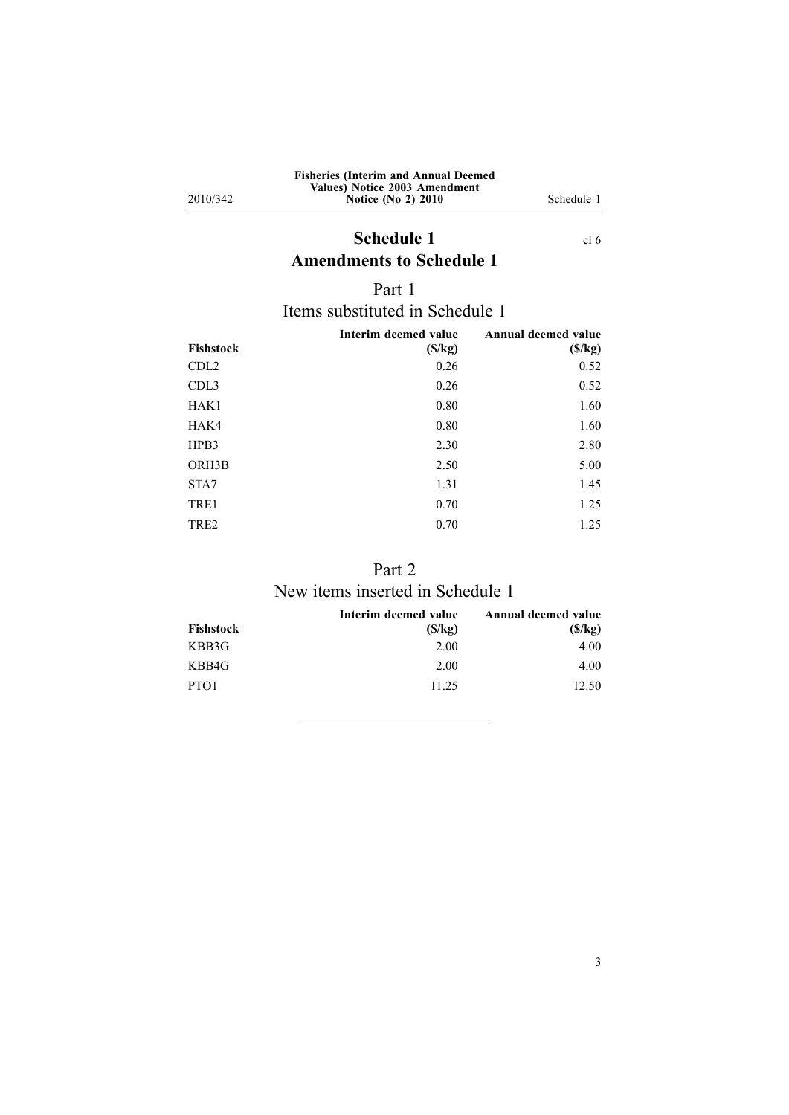| <b>Fisheries (Interim and Annual Deemed)</b> |
|----------------------------------------------|
| Values) Notice 2003 Amendment                |
| <b>Notice (No 2) 2010</b>                    |

<span id="page-2-0"></span>2010/342

**Notice (No 2) 2010** Schedule 1

## **Schedule** 1 [cl](#page-1-0) 6 **Amendments to Schedule 1**

### Part 1

## Items substituted in Schedule 1

| Fishstock        | Interim deemed value<br>(S/kg) | Annual deemed value<br>(S/kg) |
|------------------|--------------------------------|-------------------------------|
| CDL <sub>2</sub> | 0.26                           | 0.52                          |
| CDL <sub>3</sub> | 0.26                           | 0.52                          |
| HAK1             | 0.80                           | 1.60                          |
| HAK4             | 0.80                           | 1.60                          |
| HPB3             | 2.30                           | 2.80                          |
| ORH3B            | 2.50                           | 5.00                          |
| STA7             | 1.31                           | 1.45                          |
| TRE1             | 0.70                           | 1.25                          |
| TRE <sub>2</sub> | 0.70                           | 1.25                          |

## Part 2 New items inserted in Schedule 1

| Fishstock        | Interim deemed value<br>(S/kg) | Annual deemed value<br>(S/kg) |
|------------------|--------------------------------|-------------------------------|
| KBB3G            | 2.00                           | 4.00                          |
| KBB4G            | 2.00                           | 4.00                          |
| PTO <sub>1</sub> | 11.25                          | 12.50                         |
|                  |                                |                               |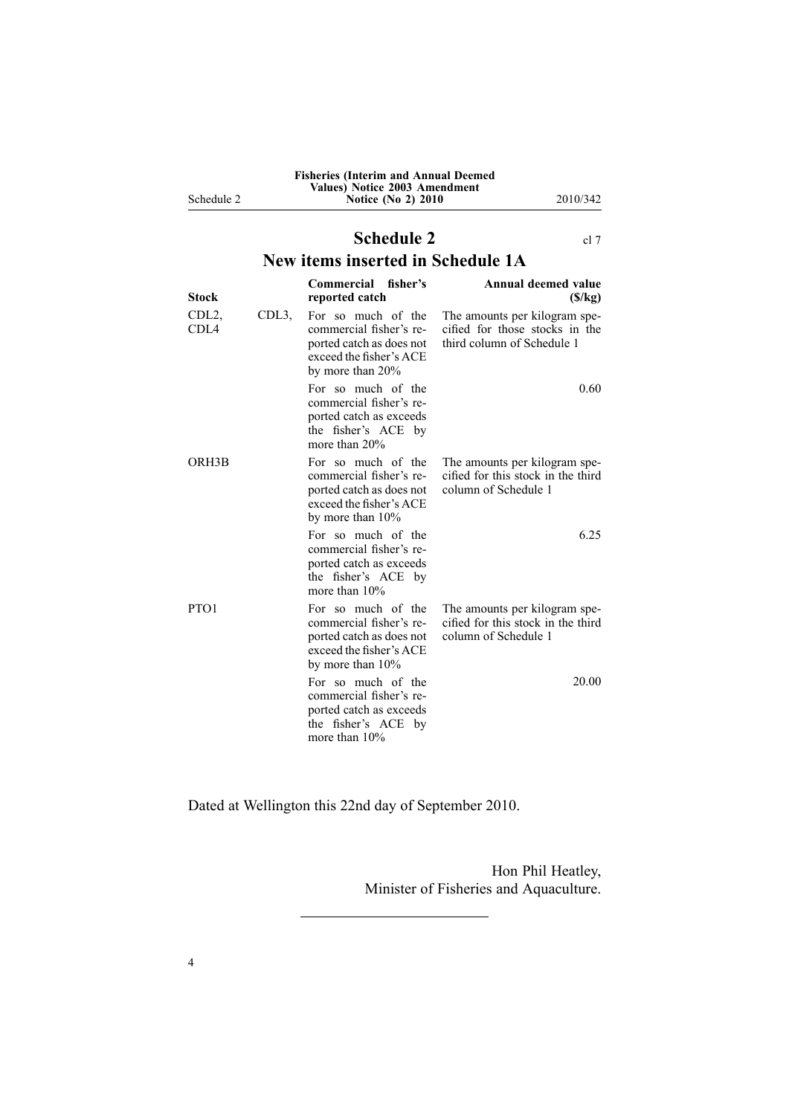|   | <b>Fisheries (Interim and Annual Deemed)</b> |
|---|----------------------------------------------|
|   | Values) Notice 2003 Amendment                |
| 2 | <b>Notice (No 2) 2010</b>                    |
|   |                                              |

**Notice (No 2) 2010** 2010/342

# **Schedule 2** [cl](#page-1-0) 7

## **New items inserted in Schedule 1A**

| <b>Stock</b>              |                  | Commercial fisher's<br>reported catch                                                                                       | Annual deemed value<br>(S/kg)                                                                 |
|---------------------------|------------------|-----------------------------------------------------------------------------------------------------------------------------|-----------------------------------------------------------------------------------------------|
| CDL <sub>2</sub><br>CDI 4 | CDL <sub>3</sub> | For so much of the<br>commercial fisher's re-<br>ported catch as does not<br>exceed the fisher's ACE<br>by more than $20\%$ | The amounts per kilogram spe-<br>cified for those stocks in the<br>third column of Schedule 1 |
|                           |                  | For so much of the<br>commercial fisher's re-<br>ported catch as exceeds<br>the fisher's ACE by<br>more than $20\%$         | 0.60                                                                                          |
| ORH3B                     |                  | For so much of the<br>commercial fisher's re-<br>ported catch as does not<br>exceed the fisher's ACE<br>by more than 10%    | The amounts per kilogram spe-<br>cified for this stock in the third<br>column of Schedule 1   |
|                           |                  | For so much of the<br>commercial fisher's re-<br>ported catch as exceeds<br>the fisher's ACE by<br>more than 10%            | 6.25                                                                                          |
| PTO <sub>1</sub>          |                  | For so much of the<br>commercial fisher's re-<br>ported catch as does not<br>exceed the fisher's ACE<br>by more than $10\%$ | The amounts per kilogram spe-<br>cified for this stock in the third<br>column of Schedule 1   |
|                           |                  | For so much of the<br>commercial fisher's re-<br>ported catch as exceeds<br>the fisher's ACE by<br>more than 10%            | 20.00                                                                                         |

Dated at Wellington this 22nd day of September 2010.

Hon Phil Heatley, Minister of Fisheries and Aquaculture.

<span id="page-3-0"></span>Schedule